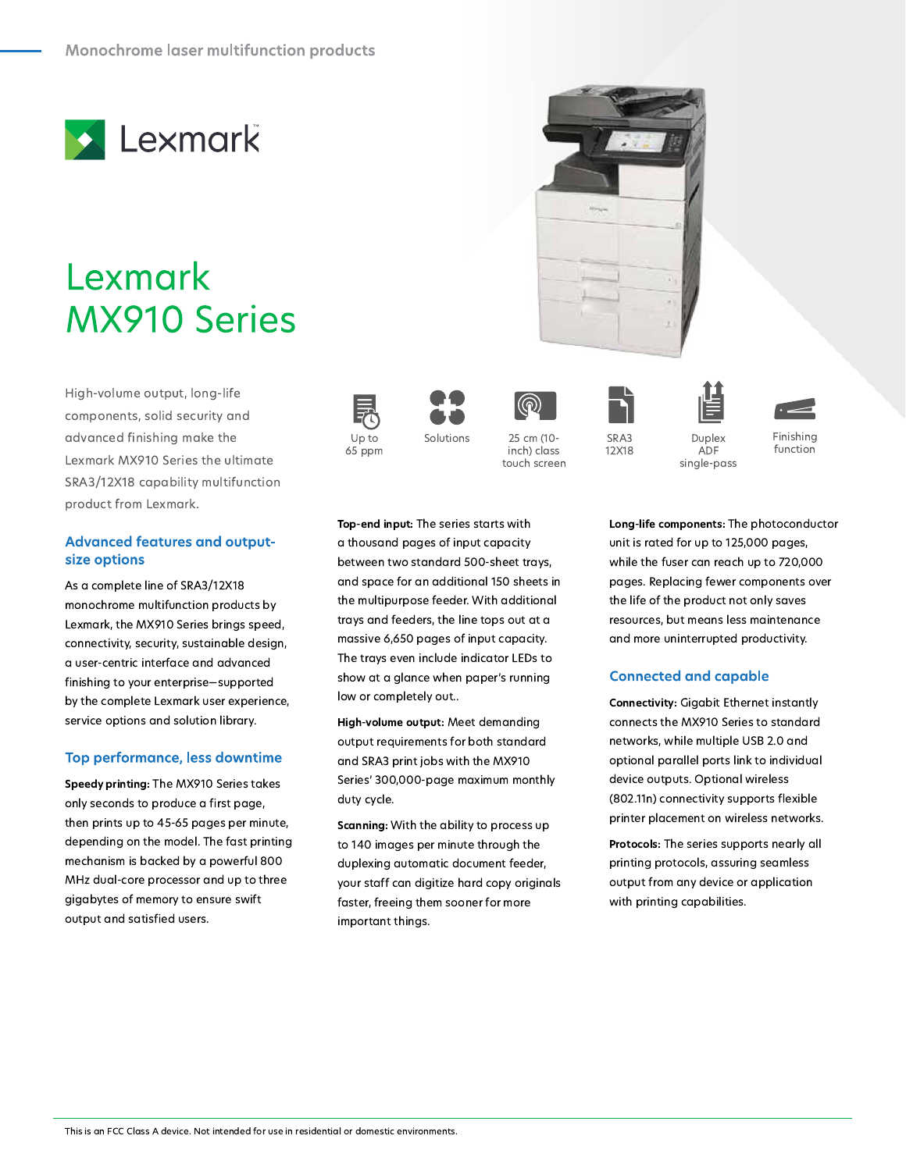

# Lexmark **MX910 Series**

High-volume output, long-life components, solid security and advanced finishing make the Lexmark MX910 Series the ultimate SRA3/12X18 capability multifunction product from Lexmark.

# **Advanced features and output**size options

As a complete line of SRA3/12X18 monochrome multifunction products by Lexmark, the MX910 Series brings speed, connectivity, security, sustainable design, a user-centric interface and advanced finishing to your enterprise-supported by the complete Lexmark user experience, service options and solution library.

# Top performance, less downtime

Speedy printing: The MX910 Series takes only seconds to produce a first page, then prints up to 45-65 pages per minute, depending on the model. The fast printing mechanism is backed by a powerful 800 MHz dual-core processor and up to three gigabytes of memory to ensure swift output and satisfied users.



Up to

65 ppm

output requirements for both standard and SRA3 print jobs with the MX910 Series' 300,000-page maximum monthly duty cycle.

Scanning: With the ability to process up to 140 images per minute through the duplexing automatic document feeder, your staff can digitize hard copy originals faster, freeing them sooner for more important things.



Solutions

25 cm (10-

inch) class

touch screen



12X18





single-pass

Finishing function

Long-life components: The photoconductor unit is rated for up to 125,000 pages, while the fuser can reach up to 720,000 pages. Replacing fewer components over the life of the product not only saves resources, but means less maintenance and more uninterrupted productivity.

# **Connected and capable**

**Connectivity: Gigabit Ethernet instantly** connects the MX910 Series to standard networks, while multiple USB 2.0 and optional parallel ports link to individual device outputs. Optional wireless (802.11n) connectivity supports flexible printer placement on wireless networks.

Protocols: The series supports nearly all printing protocols, assuring seamless output from any device or application with printing capabilities.

a thousand pages of input capacity between two standard 500-sheet trays, and space for an additional 150 sheets in the multipurpose feeder. With additional trays and feeders, the line tops out at a massive 6,650 pages of input capacity. The trays even include indicator LEDs to show at a glance when paper's running low or completely out..

Top-end input: The series starts with

High-volume output: Meet demanding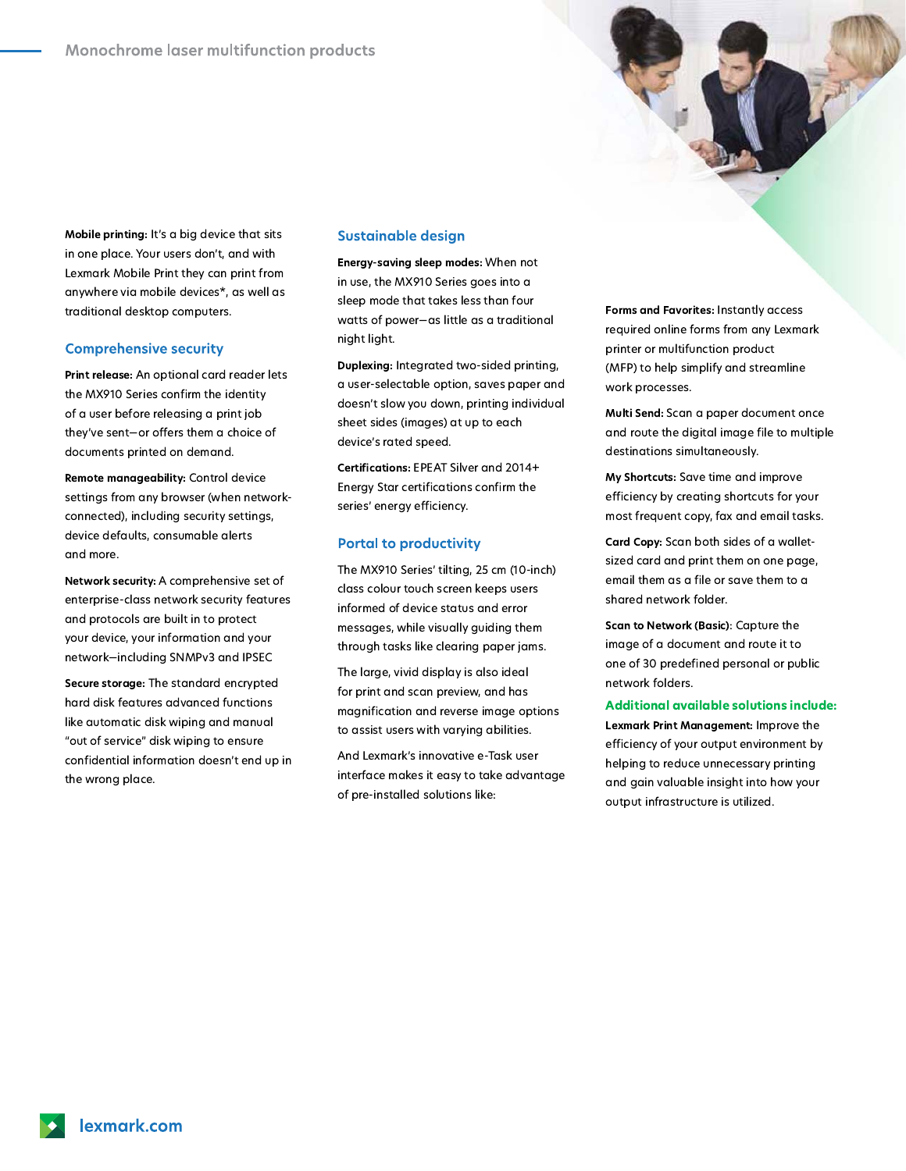Mobile printing: It's a big device that sits in one place. Your users don't, and with Lexmark Mobile Print they can print from anywhere via mobile devices\*, as well as traditional desktop computers.

#### **Comprehensive security**

Print release: An optional card reader lets the MX910 Series confirm the identity of a user before releasing a print job they've sent-or offers them a choice of documents printed on demand.

Remote manageability: Control device settings from any browser (when networkconnected), including security settings, device defaults, consumable alerts and more.

Network security: A comprehensive set of enterprise-class network security features and protocols are built in to protect your device, your information and your network-including SNMPv3 and IPSEC

Secure storage: The standard encrypted hard disk features advanced functions like automatic disk wiping and manual "out of service" disk wiping to ensure confidential information doesn't end up in the wrong place.

#### **Sustainable design**

Energy-saving sleep modes: When not in use, the MX910 Series goes into a sleep mode that takes less than four watts of power-as little as a traditional night light.

Duplexing: Integrated two-sided printing, a user-selectable option, saves paper and doesn't slow you down, printing individual sheet sides (images) at up to each device's rated speed.

Certifications: EPEAT Silver and 2014+ Energy Star certifications confirm the series' energy efficiency.

#### **Portal to productivity**

The MX910 Series' tilting, 25 cm (10-inch) class colour touch screen keeps users informed of device status and error messages, while visually guiding them through tasks like clearing paper jams.

The large, vivid display is also ideal for print and scan preview, and has magnification and reverse image options to assist users with varying abilities.

And Lexmark's innovative e-Task user interface makes it easy to take advantage of pre-installed solutions like:

Forms and Favorites: Instantly access required online forms from any Lexmark printer or multifunction product (MFP) to help simplify and streamline work processes.

Multi Send: Scan a paper document once and route the digital image file to multiple destinations simultaneously.

My Shortcuts: Save time and improve efficiency by creating shortcuts for your most frequent copy, fax and email tasks.

Card Copy: Scan both sides of a walletsized card and print them on one page, email them as a file or save them to a shared network folder.

Scan to Network (Basic): Capture the image of a document and route it to one of 30 predefined personal or public network folders.

**Additional available solutions include:** Lexmark Print Management: Improve the efficiency of your output environment by helping to reduce unnecessary printing and gain valuable insight into how your output infrastructure is utilized.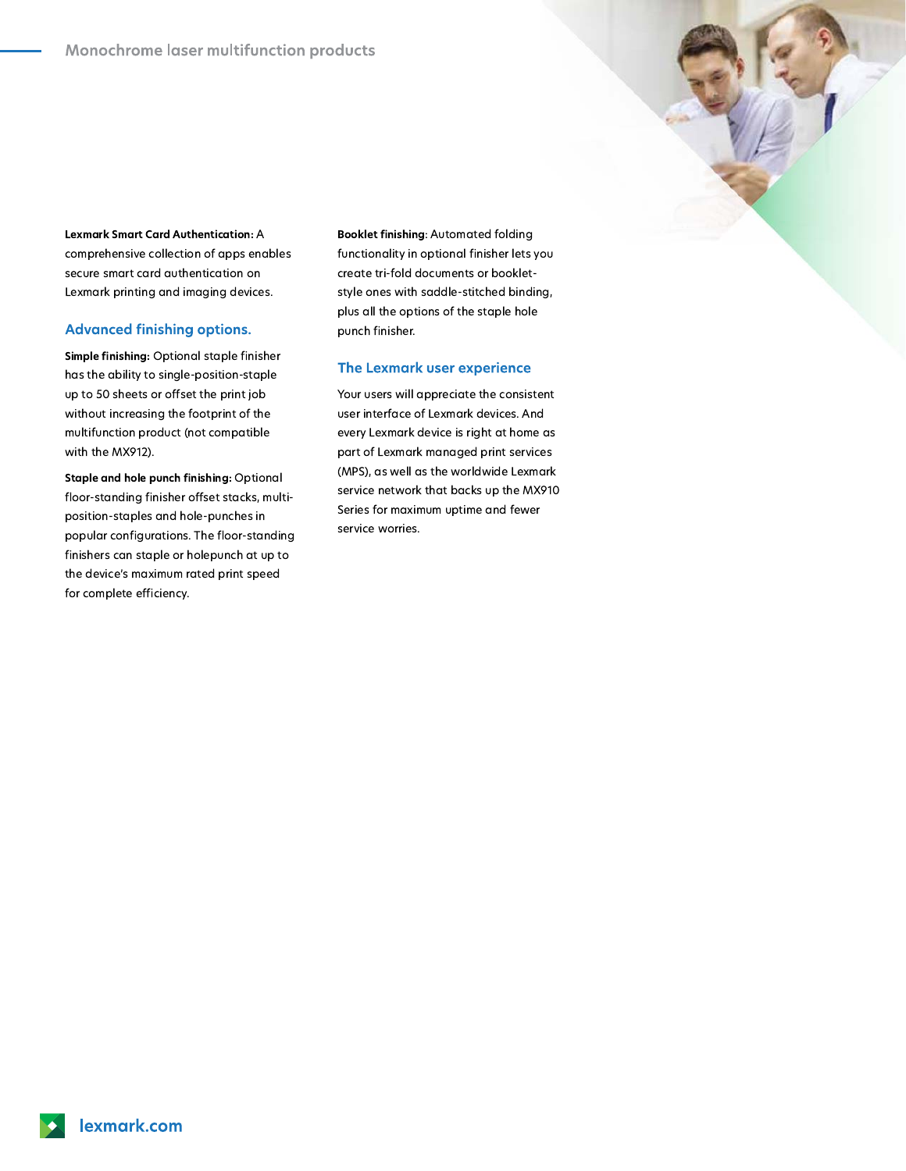**Lexmark Smart Card Authentication: A** comprehensive collection of apps enables secure smart card authentication on Lexmark printing and imaging devices.

### **Advanced finishing options.**

Simple finishing: Optional staple finisher has the ability to single-position-staple up to 50 sheets or offset the print job without increasing the footprint of the multifunction product (not compatible with the MX912).

Staple and hole punch finishing: Optional floor-standing finisher offset stacks, multiposition-staples and hole-punches in popular configurations. The floor-standing finishers can staple or holepunch at up to the device's maximum rated print speed for complete efficiency.

Booklet finishing: Automated folding functionality in optional finisher lets you create tri-fold documents or bookletstyle ones with saddle-stitched binding, plus all the options of the staple hole punch finisher.

#### The Lexmark user experience

Your users will appreciate the consistent user interface of Lexmark devices. And every Lexmark device is right at home as part of Lexmark managed print services (MPS), as well as the worldwide Lexmark service network that backs up the MX910 Series for maximum uptime and fewer service worries.

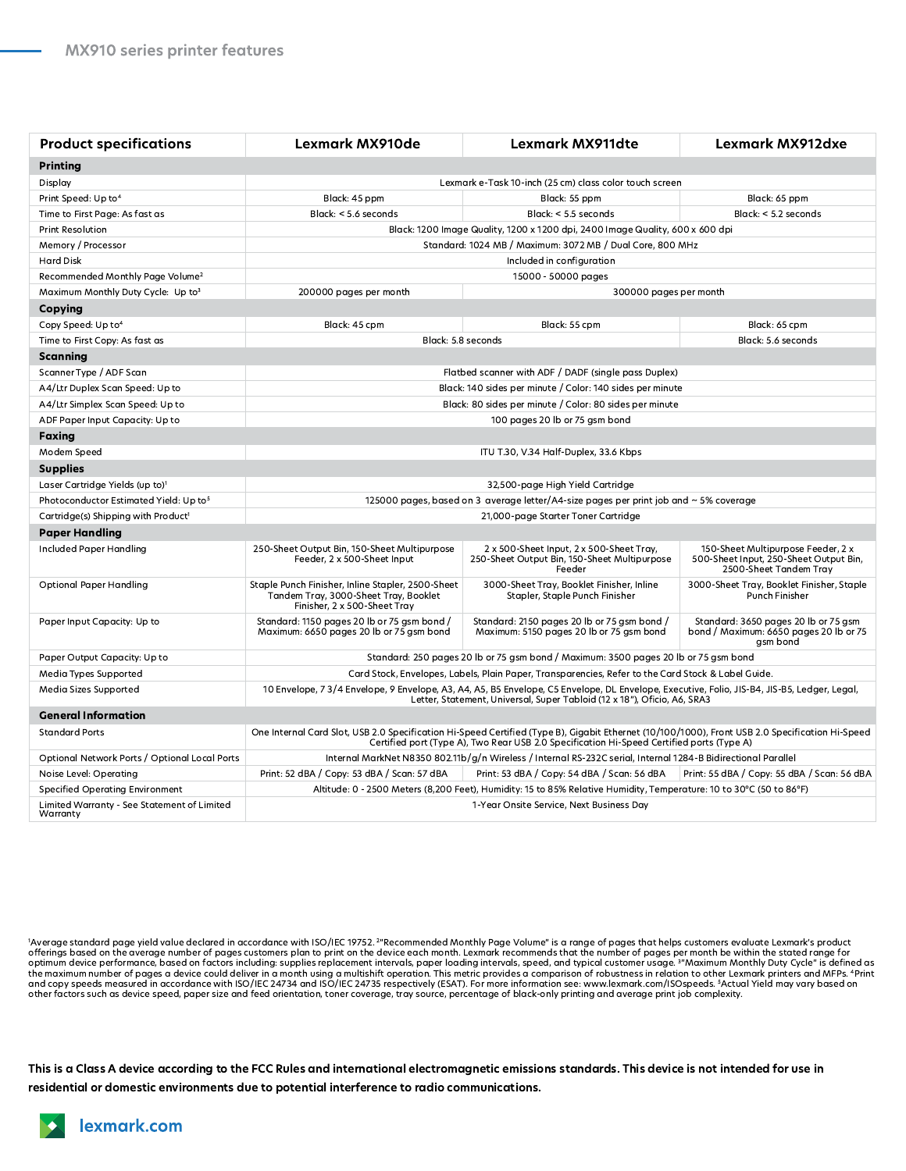| <b>Product specifications</b>                           | Lexmark MX910de                                                                                                                                                                                                                              | <b>Lexmark MX911dte</b>                                                                            | Lexmark MX912dxe                                                                                       |
|---------------------------------------------------------|----------------------------------------------------------------------------------------------------------------------------------------------------------------------------------------------------------------------------------------------|----------------------------------------------------------------------------------------------------|--------------------------------------------------------------------------------------------------------|
| Printing                                                |                                                                                                                                                                                                                                              |                                                                                                    |                                                                                                        |
| Display                                                 | Lexmark e-Task 10-inch (25 cm) class color touch screen                                                                                                                                                                                      |                                                                                                    |                                                                                                        |
| Print Speed: Up to <sup>4</sup>                         | Black: 45 ppm                                                                                                                                                                                                                                | Black: 55 ppm                                                                                      | Black: 65 ppm                                                                                          |
| Time to First Page: As fast as                          | Black: < 5.6 seconds                                                                                                                                                                                                                         | Black: $<$ 5.5 seconds                                                                             | Black: < 5.2 seconds                                                                                   |
| <b>Print Resolution</b>                                 | Black: 1200 Image Quality, 1200 x 1200 dpi, 2400 Image Quality, 600 x 600 dpi                                                                                                                                                                |                                                                                                    |                                                                                                        |
| Memory / Processor                                      | Standard: 1024 MB / Maximum: 3072 MB / Dual Core, 800 MHz                                                                                                                                                                                    |                                                                                                    |                                                                                                        |
| <b>Hard Disk</b>                                        | Included in configuration                                                                                                                                                                                                                    |                                                                                                    |                                                                                                        |
| Recommended Monthly Page Volume <sup>2</sup>            | 15000 - 50000 pages                                                                                                                                                                                                                          |                                                                                                    |                                                                                                        |
| Maximum Monthly Duty Cycle: Up to3                      | 200000 pages per month                                                                                                                                                                                                                       | 300000 pages per month                                                                             |                                                                                                        |
| Copying                                                 |                                                                                                                                                                                                                                              |                                                                                                    |                                                                                                        |
| Copy Speed: Up to <sup>4</sup>                          | Black: 45 cpm                                                                                                                                                                                                                                | Black: 55 cpm                                                                                      | Black: 65 cpm                                                                                          |
| Time to First Copy: As fast as                          | Black: 5.8 seconds<br>Black: 5.6 seconds                                                                                                                                                                                                     |                                                                                                    |                                                                                                        |
| Scanning                                                |                                                                                                                                                                                                                                              |                                                                                                    |                                                                                                        |
| Scanner Type / ADF Scan                                 | Flatbed scanner with ADF / DADF (single pass Duplex)                                                                                                                                                                                         |                                                                                                    |                                                                                                        |
| A4/Ltr Duplex Scan Speed: Up to                         | Black: 140 sides per minute / Color: 140 sides per minute                                                                                                                                                                                    |                                                                                                    |                                                                                                        |
| A4/Ltr Simplex Scan Speed: Up to                        | Black: 80 sides per minute / Color: 80 sides per minute                                                                                                                                                                                      |                                                                                                    |                                                                                                        |
| ADF Paper Input Capacity: Up to                         | 100 pages 20 lb or 75 gsm bond                                                                                                                                                                                                               |                                                                                                    |                                                                                                        |
| Faxing                                                  |                                                                                                                                                                                                                                              |                                                                                                    |                                                                                                        |
| Modem Speed                                             | ITU T.30, V.34 Half-Duplex, 33.6 Kbps                                                                                                                                                                                                        |                                                                                                    |                                                                                                        |
| <b>Supplies</b>                                         |                                                                                                                                                                                                                                              |                                                                                                    |                                                                                                        |
| Laser Cartridge Yields (up to) <sup>1</sup>             | 32,500-page High Yield Cartridge                                                                                                                                                                                                             |                                                                                                    |                                                                                                        |
| Photoconductor Estimated Yield: Up to <sup>5</sup>      | 125000 pages, based on 3 average letter/A4-size pages per print job and $\sim$ 5% coverage                                                                                                                                                   |                                                                                                    |                                                                                                        |
| Cartridge(s) Shipping with Product <sup>1</sup>         | 21,000-page Starter Toner Cartridge                                                                                                                                                                                                          |                                                                                                    |                                                                                                        |
| <b>Paper Handling</b>                                   |                                                                                                                                                                                                                                              |                                                                                                    |                                                                                                        |
| Included Paper Handling                                 | 250-Sheet Output Bin, 150-Sheet Multipurpose<br>Feeder, 2 x 500-Sheet Input                                                                                                                                                                  | 2 x 500-Sheet Input, 2 x 500-Sheet Tray,<br>250-Sheet Output Bin, 150-Sheet Multipurpose<br>Feeder | 150-Sheet Multipurpose Feeder, 2 x<br>500-Sheet Input, 250-Sheet Output Bin,<br>2500-Sheet Tandem Tray |
| <b>Optional Paper Handling</b>                          | Staple Punch Finisher, Inline Stapler, 2500-Sheet<br>Tandem Tray, 3000-Sheet Tray, Booklet<br>Finisher, 2 x 500-Sheet Tray                                                                                                                   | 3000-Sheet Tray, Booklet Finisher, Inline<br>Stapler, Staple Punch Finisher                        | 3000-Sheet Tray, Booklet Finisher, Staple<br>Punch Finisher                                            |
| Paper Input Capacity: Up to                             | Standard: 1150 pages 20 lb or 75 gsm bond /<br>Maximum: 6650 pages 20 lb or 75 gsm bond                                                                                                                                                      | Standard: 2150 pages 20 lb or 75 gsm bond /<br>Maximum: 5150 pages 20 lb or 75 gsm bond            | Standard: 3650 pages 20 lb or 75 gsm<br>bond / Maximum: 6650 pages 20 lb or 75<br>gsm bond             |
| Paper Output Capacity: Up to                            | Standard: 250 pages 20 lb or 75 gsm bond / Maximum: 3500 pages 20 lb or 75 gsm bond                                                                                                                                                          |                                                                                                    |                                                                                                        |
| Media Types Supported                                   | Card Stock, Envelopes, Labels, Plain Paper, Transparencies, Refer to the Card Stock & Label Guide.                                                                                                                                           |                                                                                                    |                                                                                                        |
| Media Sizes Supported                                   | 10 Envelope, 7 3/4 Envelope, 9 Envelope, A3, A4, A5, B5 Envelope, C5 Envelope, DL Envelope, Executive, Folio, JIS-B4, JIS-B5, Ledger, Legal,<br>Letter, Statement, Universal, Super Tabloid (12 x 18"), Oficio, A6, SRA3                     |                                                                                                    |                                                                                                        |
| <b>General Information</b>                              |                                                                                                                                                                                                                                              |                                                                                                    |                                                                                                        |
| <b>Standard Ports</b>                                   | One Internal Card Slot, USB 2.0 Specification Hi-Speed Certified (Type B), Gigabit Ethernet (10/100/1000), Front USB 2.0 Specification Hi-Speed<br>Certified port (Type A), Two Rear USB 2.0 Specification Hi-Speed Certified ports (Type A) |                                                                                                    |                                                                                                        |
| Optional Network Ports / Optional Local Ports           | Internal MarkNet N8350 802.11b/g/n Wireless / Internal RS-232C serial, Internal 1284-B Bidirectional Parallel                                                                                                                                |                                                                                                    |                                                                                                        |
| Noise Level: Operating                                  | Print: 52 dBA / Copy: 53 dBA / Scan: 57 dBA                                                                                                                                                                                                  | Print: 53 dBA / Copy: 54 dBA / Scan: 56 dBA                                                        | Print: 55 dBA / Copy: 55 dBA / Scan: 56 dBA                                                            |
| <b>Specified Operating Environment</b>                  | Altitude: 0 - 2500 Meters (8,200 Feet), Humidity: 15 to 85% Relative Humidity, Temperature: 10 to 30°C (50 to 86°F)                                                                                                                          |                                                                                                    |                                                                                                        |
| Limited Warranty - See Statement of Limited<br>Warranty | 1-Year Onsite Service, Next Business Day                                                                                                                                                                                                     |                                                                                                    |                                                                                                        |

'Average standard page yield value declared in accordance with ISO/IEC 19752. <sup>2</sup>"Recommended Monthly Page Volume" is a range of pages that helps customers evaluate Lexmark's product<br>offerings based on the average number o other factors such as device speed, paper size and feed orientation, toner coverage, tray source, percentage of black-only printing and average print job complexity.

This is a Class A device according to the FCC Rules and international electromagnetic emissions standards. This device is not intended for use in residential or domestic environments due to potential interference to radio communications.